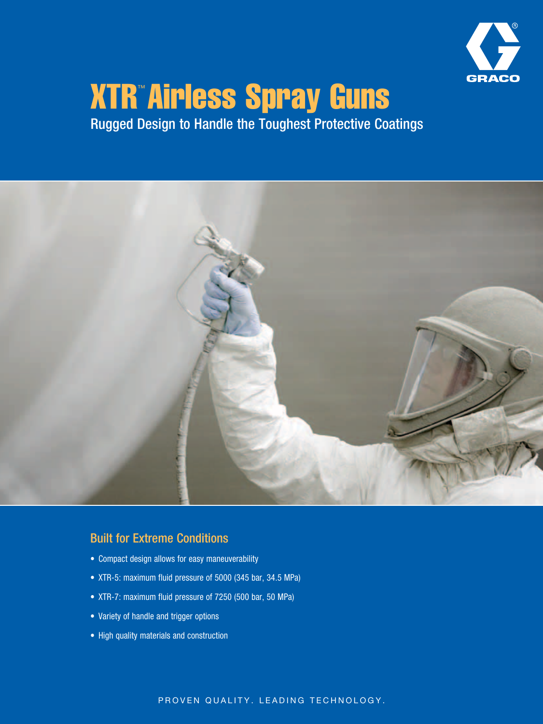

# XTR™ Airless Spray Guns

Rugged Design to Handle the Toughest Protective Coatings



## Built for Extreme Conditions

- • Compact design allows for easy maneuverability
- XTR-5: maximum fluid pressure of 5000 (345 bar, 34.5 MPa)
- • XTR-7: maximum fluid pressure of 7250 (500 bar, 50 MPa)
- Variety of handle and trigger options
- High quality materials and construction

### PROVEN QUALITY. LEADING TECHNOLOGY.